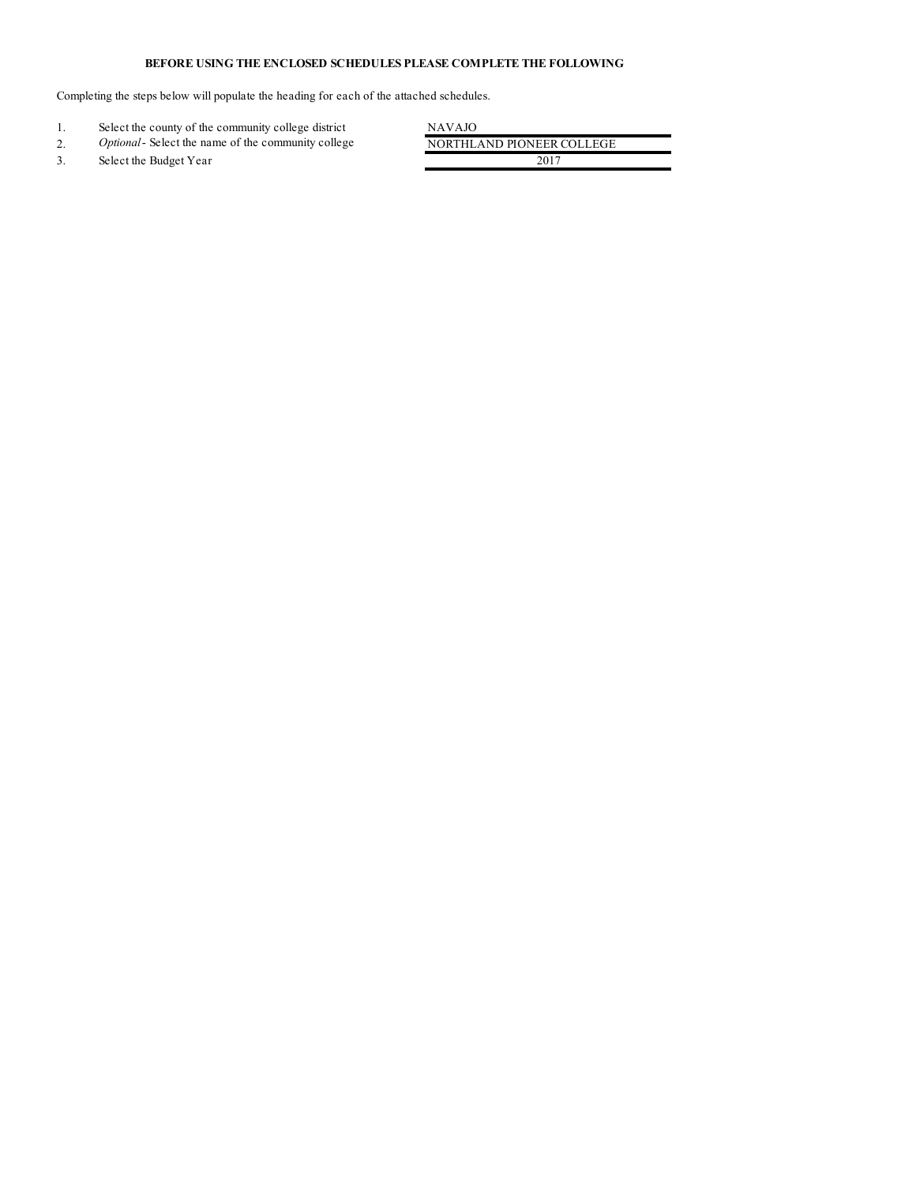## **BEFORE USING THE ENCLOSED SCHEDULES PLEASE COMPLETE THE FOLLOWING**

Completing the steps below will populate the heading for each of the attached schedules.

|    | Select the county of the community college district        | NAVAJO                    |
|----|------------------------------------------------------------|---------------------------|
| ۷. | <i>Optional</i> - Select the name of the community college | NORTHLAND PIONEER COLLEGE |
|    | Select the Budget Year                                     | 2017                      |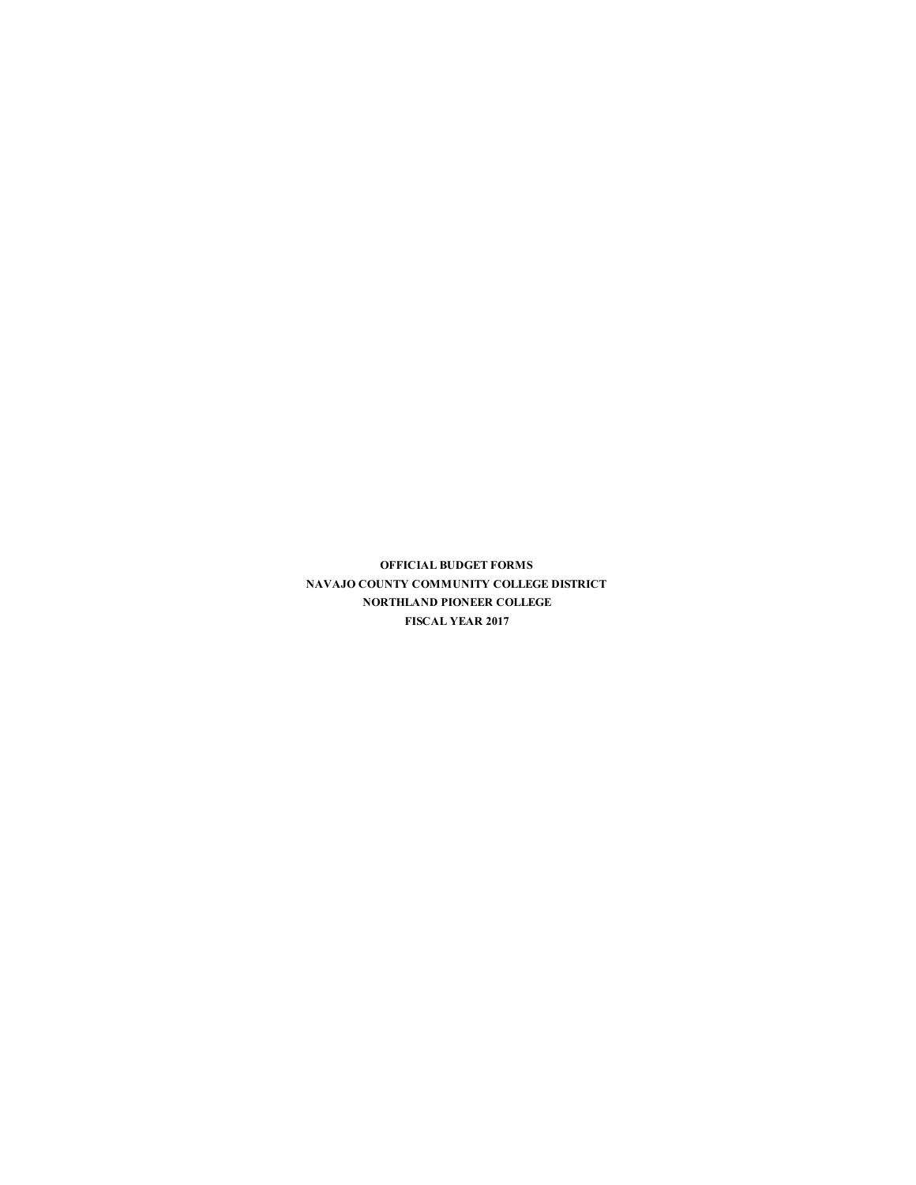**OFFICIAL BUDGET FORMS NAVAJO COUNTY COMMUNITY COLLEGE DISTRICT NORTHLAND PIONEER COLLEGE FISCAL YEAR 2017**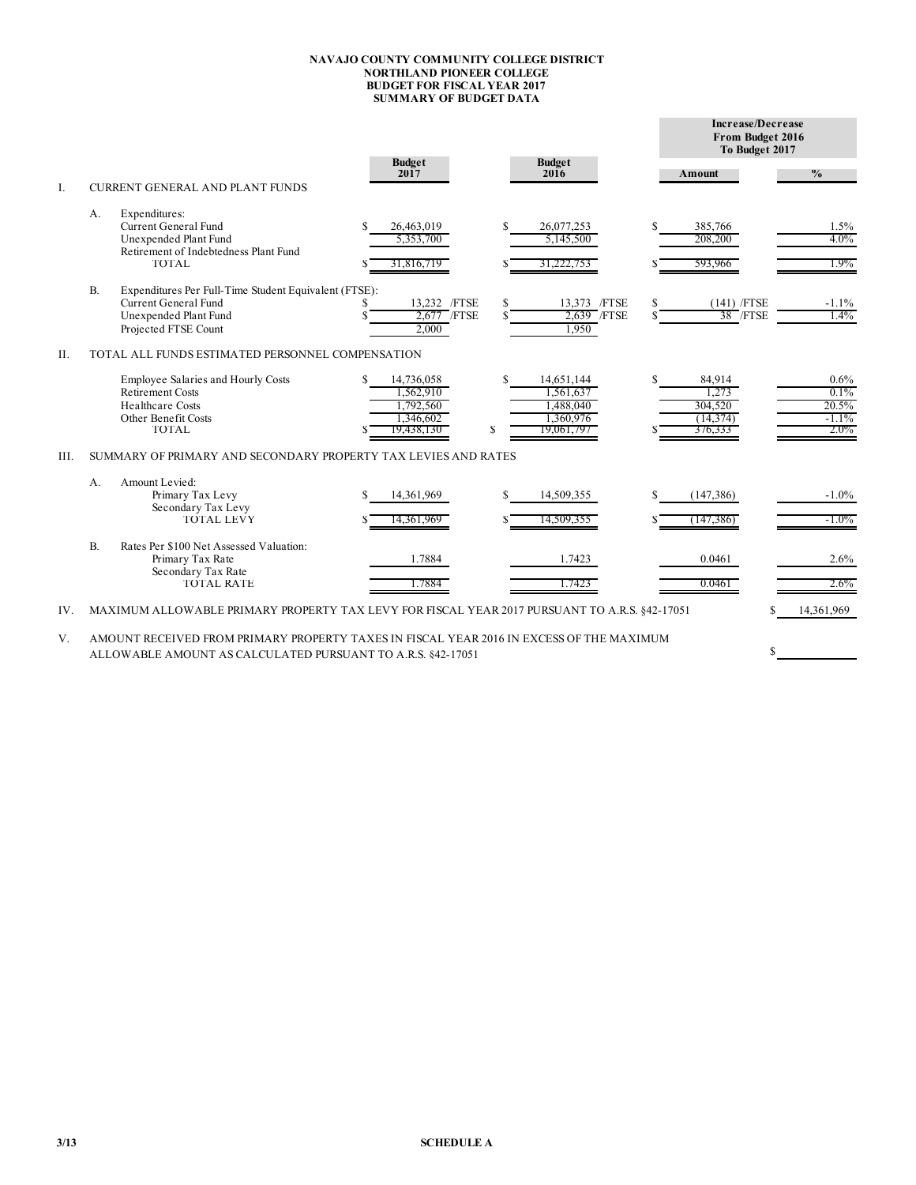## **NAVAJO COUNTY COMMUNITY COLLEGE DISTRICT NORTHLAND PIONEER COLLEGE BUDGET FOR FISCAL YEAR 2017 SUMMARY OF BUDGET DATA**

i.

|           |                                                                                                                                                                                                                                                          |                                                                 |                                                                             |                                                    | Increase/Decrease<br>From Budget 2016<br>To Budget 2017 |  |  |  |  |
|-----------|----------------------------------------------------------------------------------------------------------------------------------------------------------------------------------------------------------------------------------------------------------|-----------------------------------------------------------------|-----------------------------------------------------------------------------|----------------------------------------------------|---------------------------------------------------------|--|--|--|--|
| I.        | <b>CURRENT GENERAL AND PLANT FUNDS</b>                                                                                                                                                                                                                   | <b>Budget</b><br>2017                                           | <b>Budget</b><br>2016                                                       | Amount                                             | $\frac{0}{0}$                                           |  |  |  |  |
|           | Expenditures:<br>А.<br>Current General Fund<br>Unexpended Plant Fund<br>Retirement of Indebtedness Plant Fund<br><b>TOTAL</b>                                                                                                                            | 26,463,019<br>S<br>5.353.700<br>31,816,719                      | \$.<br>26,077,253<br>5,145,500<br>31,222,753                                | 385,766<br>\$.<br>208,200<br>593,966               | 1.5%<br>4.0%<br>1.9%                                    |  |  |  |  |
|           | <b>B.</b><br>Expenditures Per Full-Time Student Equivalent (FTSE):<br>Current General Fund<br>Unexpended Plant Fund<br>Projected FTSE Count                                                                                                              | 13,232 /FTSE<br>2.677 / FTSE<br>2.000                           | 13,373 /FTSE<br>S.<br>2.639 /FTSE<br>1.950                                  | \$<br>$(141)$ /FTSE<br>38 /FTSE                    | $-1.1%$<br>1.4%                                         |  |  |  |  |
| Η.        | TOTAL ALL FUNDS ESTIMATED PERSONNEL COMPENSATION<br>Employee Salaries and Hourly Costs<br><b>Retirement Costs</b><br><b>Healthcare Costs</b><br>Other Benefit Costs<br><b>TOTAL</b>                                                                      | 14,736,058<br>1,562,910<br>1.792.560<br>1,346,602<br>19,438,130 | \$.<br>14,651,144<br>1,561,637<br>1.488.040<br>1,360,976<br>S<br>19,061,797 | 84,914<br>1.273<br>304.520<br>(14, 374)<br>376,333 | 0.6%<br>0.1%<br>20.5%<br>$-1.1%$<br>$2.0\%$             |  |  |  |  |
| III.      | SUMMARY OF PRIMARY AND SECONDARY PROPERTY TAX LEVIES AND RATES<br>Amount Levied:<br>A.<br>Primary Tax Levy<br>Secondary Tax Levy<br><b>TOTAL LEVY</b>                                                                                                    | 14,361,969<br>14,361,969                                        | 14,509,355<br>S.<br>14,509,355                                              | S.<br>(147, 386)<br>(147, 386)                     | $-1.0%$<br>$-1.0\%$                                     |  |  |  |  |
|           | $B$ .<br>Rates Per \$100 Net Assessed Valuation:<br>Primary Tax Rate<br>Secondary Tax Rate<br>TOTAL RATE                                                                                                                                                 | 1.7884<br>1.7884                                                | 1.7423<br>1.7423                                                            | 0.0461<br>0.0461                                   | 2.6%<br>$2.6\%$                                         |  |  |  |  |
| IV.<br>V. | MAXIMUM ALLOWABLE PRIMARY PROPERTY TAX LEVY FOR FISCAL YEAR 2017 PURSUANT TO A.R.S. §42-17051<br>AMOUNT RECEIVED FROM PRIMARY PROPERTY TAXES IN FISCAL YEAR 2016 IN EXCESS OF THE MAXIMUM<br>ALLOWABLE AMOUNT AS CALCULATED PURSUANT TO A.R.S. 842-17051 |                                                                 |                                                                             | S                                                  | 14,361,969                                              |  |  |  |  |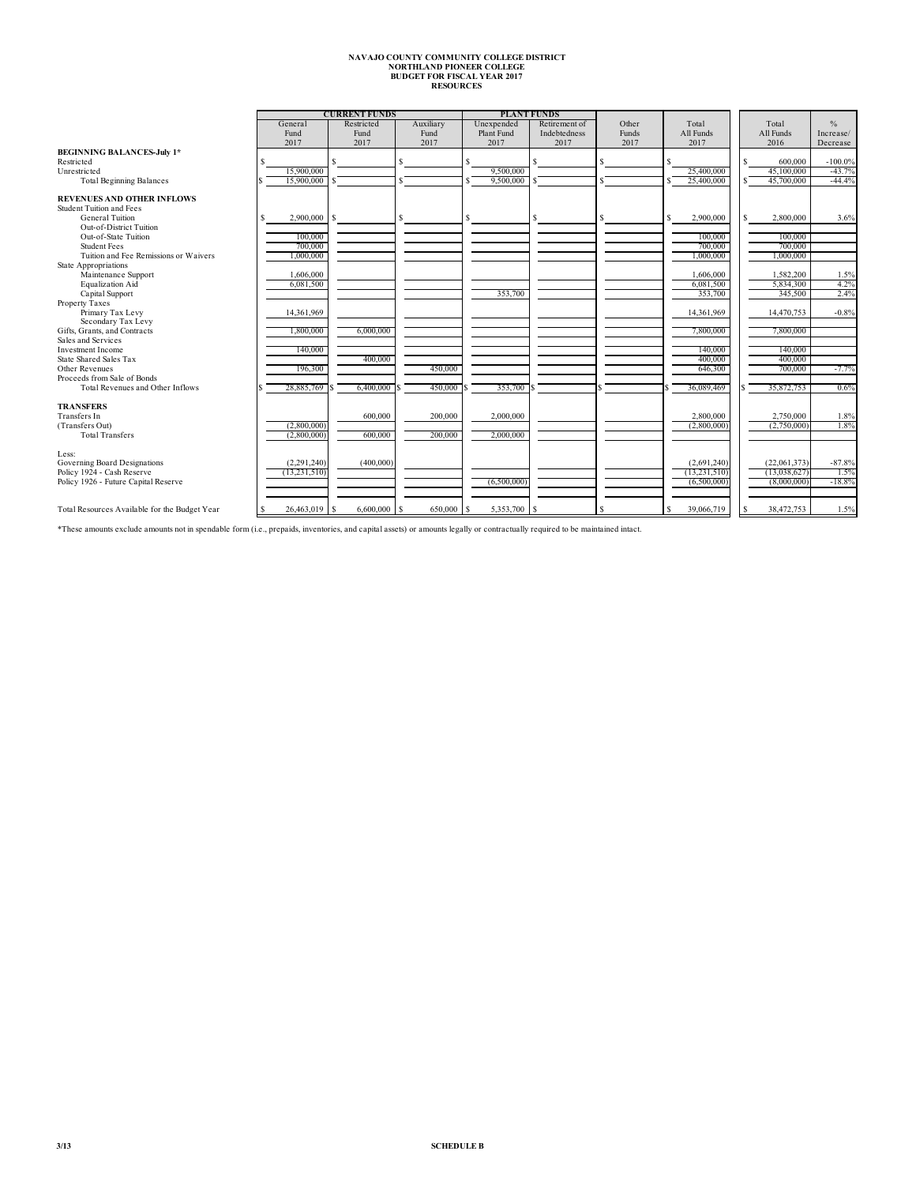## **NAVAJO COUNTY COMMUNITY COLLEGE DISTRICT NORTHLAND PIONEER COLLEGE BUDGET FOR FISCAL YEAR 2017 RESOURCES**

|                                               |    | <b>CURRENT FUNDS</b>  |      |                |  |            |     |               | <b>PLANT FUNDS</b> |       |       |       |                |       |               |            |
|-----------------------------------------------|----|-----------------------|------|----------------|--|------------|-----|---------------|--------------------|-------|-------|-------|----------------|-------|---------------|------------|
|                                               |    | General<br>Restricted |      | Auxiliary      |  | Unexpended |     | Retirement of |                    | Other |       | Total |                | Total | $\frac{0}{n}$ |            |
|                                               |    | Fund                  | Fund |                |  | Fund       |     | Plant Fund    | Indebtedness       |       | Funds |       | All Funds      |       | All Funds     | Increase/  |
|                                               |    | 2017                  | 2017 |                |  | 2017       |     | 2017          | 2017               |       | 2017  |       | 2017           |       | 2016          | Decrease   |
| <b>BEGINNING BALANCES-July 1*</b>             |    |                       |      |                |  |            |     |               |                    |       |       |       |                |       |               |            |
| Restricted                                    |    |                       |      |                |  |            | \$. |               |                    |       |       |       |                | ς     | 600.000       | $-100.0\%$ |
| Unrestricted                                  |    | 15.900.000            |      |                |  |            |     | 9.500.000     |                    |       |       |       | 25,400,000     |       | 45,100,000    | $-43.7%$   |
| <b>Total Beginning Balances</b>               |    | 15,900,000            |      |                |  |            |     | 9,500,000     |                    |       |       |       | 25,400,000     |       | 45,700,000    | $-44.4%$   |
|                                               |    |                       |      |                |  |            |     |               |                    |       |       |       |                |       |               |            |
| <b>REVENUES AND OTHER INFLOWS</b>             |    |                       |      |                |  |            |     |               |                    |       |       |       |                |       |               |            |
| Student Tuition and Fees                      |    |                       |      |                |  |            |     |               |                    |       |       |       |                |       |               |            |
| General Tuition                               |    | $2,900,000$ \$        |      |                |  |            | S   |               |                    | s     |       | S     | 2,900,000      | ¢.    | 2,800,000     | 3.6%       |
| Out-of-District Tuition                       |    |                       |      |                |  |            |     |               |                    |       |       |       |                |       |               |            |
| Out-of-State Tuition                          |    | 100,000               |      |                |  |            |     |               |                    |       |       |       | 100,000        |       | 100,000       |            |
| <b>Student Fees</b>                           |    | 700,000               |      |                |  |            |     |               |                    |       |       |       | 700,000        |       | 700,000       |            |
| Tuition and Fee Remissions or Waivers         |    | 000,000               |      |                |  |            |     |               |                    |       |       |       | 1,000,000      |       | 1,000,000     |            |
| State Appropriations                          |    |                       |      |                |  |            |     |               |                    |       |       |       |                |       |               |            |
| Maintenance Support                           |    | 1,606,000             |      |                |  |            |     |               |                    |       |       |       | 1,606,000      |       | 1,582,200     | 1.5%       |
| Equalization Aid                              |    | 6,081,500             |      |                |  |            |     |               |                    |       |       |       | 6,081,500      |       | 5,834,300     | 4.2%       |
| Capital Support                               |    |                       |      |                |  |            |     | 353.700       |                    |       |       |       | 353.700        |       | 345,500       | 2.4%       |
| Property Taxes                                |    |                       |      |                |  |            |     |               |                    |       |       |       |                |       |               |            |
| Primary Tax Levy                              |    | 14,361,969            |      |                |  |            |     |               |                    |       |       |       | 14,361,969     |       | 14,470,753    | $-0.8%$    |
| Secondary Tax Levy                            |    |                       |      |                |  |            |     |               |                    |       |       |       |                |       |               |            |
| Gifts, Grants, and Contracts                  |    | 1,800,000             |      | 6,000,000      |  |            |     |               |                    |       |       |       | 7,800,000      |       | 7,800,000     |            |
| Sales and Services                            |    |                       |      |                |  |            |     |               |                    |       |       |       |                |       |               |            |
| Investment Income                             |    | 140,000               |      |                |  |            |     |               |                    |       |       |       | 140,000        |       | 140,000       |            |
| State Shared Sales Tax                        |    |                       |      | 400,000        |  |            |     |               |                    |       |       |       | 400,000        |       | 400,000       |            |
| Other Revenues                                |    | 196,300               |      |                |  | 450,000    |     |               |                    |       |       |       | 646.300        |       | 700,000       | $-7.7%$    |
| Proceeds from Sale of Bonds                   |    |                       |      |                |  |            |     |               |                    |       |       |       |                |       |               |            |
| Total Revenues and Other Inflows              |    | 28,885,769            |      | 6,400,000      |  | 450,000    |     | 353,700       |                    |       |       |       | 36,089,469     |       | 35,872,753    | 0.6%       |
| <b>TRANSFERS</b>                              |    |                       |      |                |  |            |     |               |                    |       |       |       |                |       |               |            |
| Transfers In                                  |    |                       |      | 600,000        |  | 200,000    |     | 2.000.000     |                    |       |       |       | 2,800,000      |       | 2.750.000     | 1.8%       |
| (Transfers Out)                               |    | (2,800,000)           |      |                |  |            |     |               |                    |       |       |       | (2,800,000)    |       | (2,750,000)   | 1.8%       |
| <b>Total Transfers</b>                        |    | (2,800,000)           |      | 600,000        |  | 200,000    |     | 2,000,000     |                    |       |       |       |                |       |               |            |
|                                               |    |                       |      |                |  |            |     |               |                    |       |       |       |                |       |               |            |
| Less:                                         |    |                       |      |                |  |            |     |               |                    |       |       |       |                |       |               |            |
| Governing Board Designations                  |    | (2,291,240)           |      | (400,000)      |  |            |     |               |                    |       |       |       | (2,691,240)    |       | (22,061,373)  | $-87.8%$   |
| Policy 1924 - Cash Reserve                    |    | (13, 231, 510)        |      |                |  |            |     |               |                    |       |       |       | (13, 231, 510) |       | (13,038,627)  | 1.5%       |
| Policy 1926 - Future Capital Reserve          |    |                       |      |                |  |            |     | (6,500,000)   |                    |       |       |       | (6,500,000)    |       | (8,000,000)   | $-18.8%$   |
|                                               |    |                       |      |                |  |            |     |               |                    |       |       |       |                |       |               |            |
| Total Resources Available for the Budget Year | -S | 26,463,019 \$         |      | $6,600,000$ \$ |  | 650,000 \$ |     | 5,353,700 \$  |                    |       |       |       | 39,066,719     | s     | 38,472,753    | 1.5%       |
|                                               |    |                       |      |                |  |            |     |               |                    |       |       |       |                |       |               |            |

\*These amounts exclude amounts not in spendable form (i.e., prepaids, inventories, and capital assets) or amounts legally or contractually required to be maintained intact.